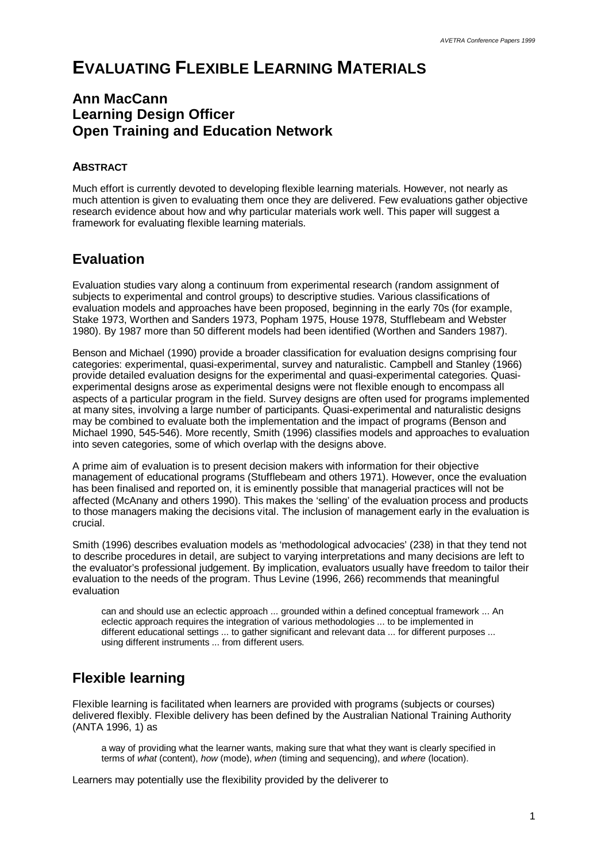# **EVALUATING FLEXIBLE LEARNING MATERIALS**

### **Ann MacCann Learning Design Officer Open Training and Education Network**

#### **ABSTRACT**

Much effort is currently devoted to developing flexible learning materials. However, not nearly as much attention is given to evaluating them once they are delivered. Few evaluations gather objective research evidence about how and why particular materials work well. This paper will suggest a framework for evaluating flexible learning materials.

### **Evaluation**

Evaluation studies vary along a continuum from experimental research (random assignment of subjects to experimental and control groups) to descriptive studies. Various classifications of evaluation models and approaches have been proposed, beginning in the early 70s (for example, Stake 1973, Worthen and Sanders 1973, Popham 1975, House 1978, Stufflebeam and Webster 1980). By 1987 more than 50 different models had been identified (Worthen and Sanders 1987).

Benson and Michael (1990) provide a broader classification for evaluation designs comprising four categories: experimental, quasi-experimental, survey and naturalistic. Campbell and Stanley (1966) provide detailed evaluation designs for the experimental and quasi-experimental categories. Quasiexperimental designs arose as experimental designs were not flexible enough to encompass all aspects of a particular program in the field. Survey designs are often used for programs implemented at many sites, involving a large number of participants. Quasi-experimental and naturalistic designs may be combined to evaluate both the implementation and the impact of programs (Benson and Michael 1990, 545-546). More recently, Smith (1996) classifies models and approaches to evaluation into seven categories, some of which overlap with the designs above.

A prime aim of evaluation is to present decision makers with information for their objective management of educational programs (Stufflebeam and others 1971). However, once the evaluation has been finalised and reported on, it is eminently possible that managerial practices will not be affected (McAnany and others 1990). This makes the 'selling' of the evaluation process and products to those managers making the decisions vital. The inclusion of management early in the evaluation is crucial.

Smith (1996) describes evaluation models as 'methodological advocacies' (238) in that they tend not to describe procedures in detail, are subject to varying interpretations and many decisions are left to the evaluator's professional judgement. By implication, evaluators usually have freedom to tailor their evaluation to the needs of the program. Thus Levine (1996, 266) recommends that meaningful evaluation

can and should use an eclectic approach ... grounded within a defined conceptual framework ... An eclectic approach requires the integration of various methodologies ... to be implemented in different educational settings ... to gather significant and relevant data ... for different purposes ... using different instruments ... from different users.

## **Flexible learning**

Flexible learning is facilitated when learners are provided with programs (subjects or courses) delivered flexibly. Flexible delivery has been defined by the Australian National Training Authority (ANTA 1996, 1) as

a way of providing what the learner wants, making sure that what they want is clearly specified in terms of *what* (content), *how* (mode), *when* (timing and sequencing), and *where* (location).

Learners may potentially use the flexibility provided by the deliverer to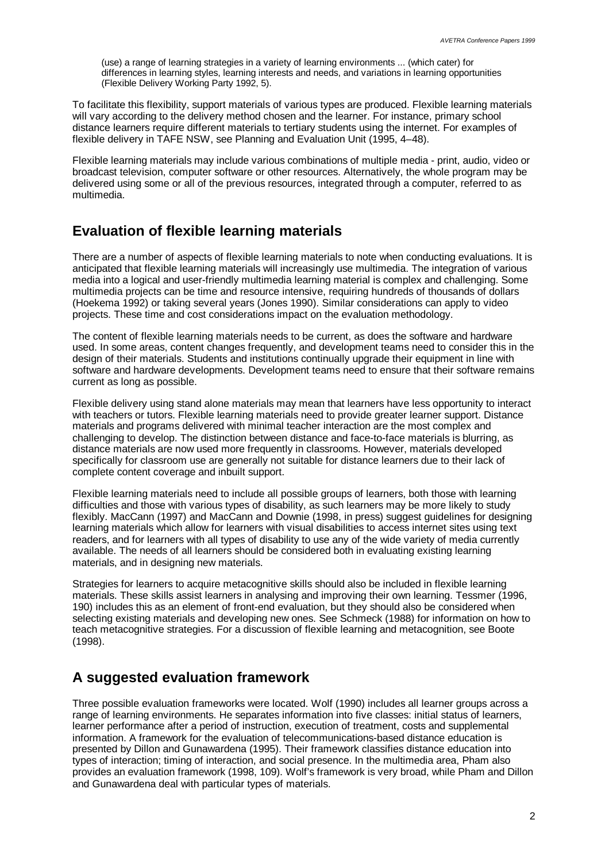(use) a range of learning strategies in a variety of learning environments ... (which cater) for differences in learning styles, learning interests and needs, and variations in learning opportunities (Flexible Delivery Working Party 1992, 5).

To facilitate this flexibility, support materials of various types are produced. Flexible learning materials will vary according to the delivery method chosen and the learner. For instance, primary school distance learners require different materials to tertiary students using the internet. For examples of flexible delivery in TAFE NSW, see Planning and Evaluation Unit (1995, 4–48).

Flexible learning materials may include various combinations of multiple media - print, audio, video or broadcast television, computer software or other resources. Alternatively, the whole program may be delivered using some or all of the previous resources, integrated through a computer, referred to as multimedia.

### **Evaluation of flexible learning materials**

There are a number of aspects of flexible learning materials to note when conducting evaluations. It is anticipated that flexible learning materials will increasingly use multimedia. The integration of various media into a logical and user-friendly multimedia learning material is complex and challenging. Some multimedia projects can be time and resource intensive, requiring hundreds of thousands of dollars (Hoekema 1992) or taking several years (Jones 1990). Similar considerations can apply to video projects. These time and cost considerations impact on the evaluation methodology.

The content of flexible learning materials needs to be current, as does the software and hardware used. In some areas, content changes frequently, and development teams need to consider this in the design of their materials. Students and institutions continually upgrade their equipment in line with software and hardware developments. Development teams need to ensure that their software remains current as long as possible.

Flexible delivery using stand alone materials may mean that learners have less opportunity to interact with teachers or tutors. Flexible learning materials need to provide greater learner support. Distance materials and programs delivered with minimal teacher interaction are the most complex and challenging to develop. The distinction between distance and face-to-face materials is blurring, as distance materials are now used more frequently in classrooms. However, materials developed specifically for classroom use are generally not suitable for distance learners due to their lack of complete content coverage and inbuilt support.

Flexible learning materials need to include all possible groups of learners, both those with learning difficulties and those with various types of disability, as such learners may be more likely to study flexibly. MacCann (1997) and MacCann and Downie (1998, in press) suggest guidelines for designing learning materials which allow for learners with visual disabilities to access internet sites using text readers, and for learners with all types of disability to use any of the wide variety of media currently available. The needs of all learners should be considered both in evaluating existing learning materials, and in designing new materials.

Strategies for learners to acquire metacognitive skills should also be included in flexible learning materials. These skills assist learners in analysing and improving their own learning. Tessmer (1996, 190) includes this as an element of front-end evaluation, but they should also be considered when selecting existing materials and developing new ones. See Schmeck (1988) for information on how to teach metacognitive strategies. For a discussion of flexible learning and metacognition, see Boote (1998).

### **A suggested evaluation framework**

Three possible evaluation frameworks were located. Wolf (1990) includes all learner groups across a range of learning environments. He separates information into five classes: initial status of learners, learner performance after a period of instruction, execution of treatment, costs and supplemental information. A framework for the evaluation of telecommunications-based distance education is presented by Dillon and Gunawardena (1995). Their framework classifies distance education into types of interaction; timing of interaction, and social presence. In the multimedia area, Pham also provides an evaluation framework (1998, 109). Wolf's framework is very broad, while Pham and Dillon and Gunawardena deal with particular types of materials.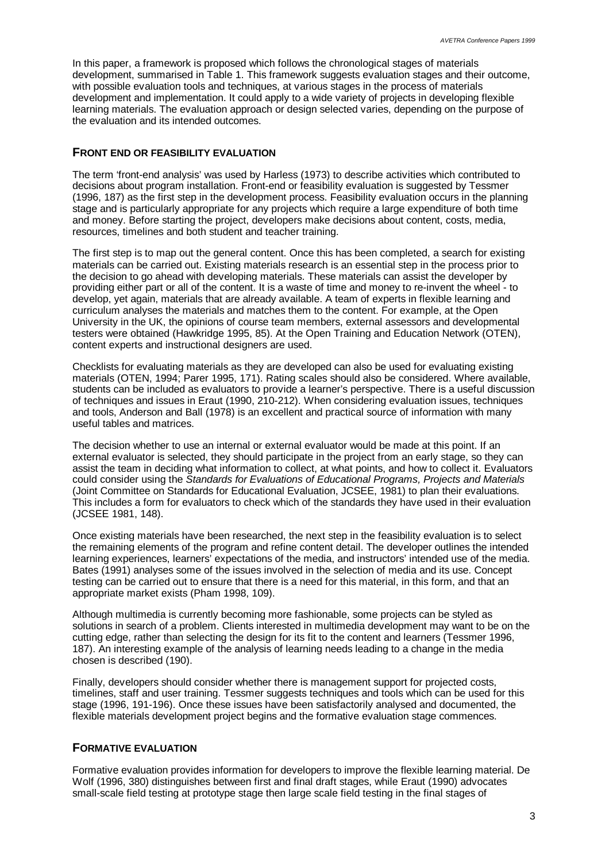In this paper, a framework is proposed which follows the chronological stages of materials development, summarised in Table 1. This framework suggests evaluation stages and their outcome. with possible evaluation tools and techniques, at various stages in the process of materials development and implementation. It could apply to a wide variety of projects in developing flexible learning materials. The evaluation approach or design selected varies, depending on the purpose of the evaluation and its intended outcomes.

#### **FRONT END OR FEASIBILITY EVALUATION**

The term 'front-end analysis' was used by Harless (1973) to describe activities which contributed to decisions about program installation. Front-end or feasibility evaluation is suggested by Tessmer (1996, 187) as the first step in the development process. Feasibility evaluation occurs in the planning stage and is particularly appropriate for any projects which require a large expenditure of both time and money. Before starting the project, developers make decisions about content, costs, media, resources, timelines and both student and teacher training.

The first step is to map out the general content. Once this has been completed, a search for existing materials can be carried out. Existing materials research is an essential step in the process prior to the decision to go ahead with developing materials. These materials can assist the developer by providing either part or all of the content. It is a waste of time and money to re-invent the wheel - to develop, yet again, materials that are already available. A team of experts in flexible learning and curriculum analyses the materials and matches them to the content. For example, at the Open University in the UK, the opinions of course team members, external assessors and developmental testers were obtained (Hawkridge 1995, 85). At the Open Training and Education Network (OTEN), content experts and instructional designers are used.

Checklists for evaluating materials as they are developed can also be used for evaluating existing materials (OTEN, 1994; Parer 1995, 171). Rating scales should also be considered. Where available, students can be included as evaluators to provide a learner's perspective. There is a useful discussion of techniques and issues in Eraut (1990, 210-212). When considering evaluation issues, techniques and tools, Anderson and Ball (1978) is an excellent and practical source of information with many useful tables and matrices.

The decision whether to use an internal or external evaluator would be made at this point. If an external evaluator is selected, they should participate in the project from an early stage, so they can assist the team in deciding what information to collect, at what points, and how to collect it. Evaluators could consider using the *Standards for Evaluations of Educational Programs, Projects and Materials* (Joint Committee on Standards for Educational Evaluation, JCSEE, 1981) to plan their evaluations. This includes a form for evaluators to check which of the standards they have used in their evaluation (JCSEE 1981, 148).

Once existing materials have been researched, the next step in the feasibility evaluation is to select the remaining elements of the program and refine content detail. The developer outlines the intended learning experiences, learners' expectations of the media, and instructors' intended use of the media. Bates (1991) analyses some of the issues involved in the selection of media and its use. Concept testing can be carried out to ensure that there is a need for this material, in this form, and that an appropriate market exists (Pham 1998, 109).

Although multimedia is currently becoming more fashionable, some projects can be styled as solutions in search of a problem. Clients interested in multimedia development may want to be on the cutting edge, rather than selecting the design for its fit to the content and learners (Tessmer 1996, 187). An interesting example of the analysis of learning needs leading to a change in the media chosen is described (190).

Finally, developers should consider whether there is management support for projected costs, timelines, staff and user training. Tessmer suggests techniques and tools which can be used for this stage (1996, 191-196). Once these issues have been satisfactorily analysed and documented, the flexible materials development project begins and the formative evaluation stage commences.

#### **FORMATIVE EVALUATION**

Formative evaluation provides information for developers to improve the flexible learning material. De Wolf (1996, 380) distinguishes between first and final draft stages, while Eraut (1990) advocates small-scale field testing at prototype stage then large scale field testing in the final stages of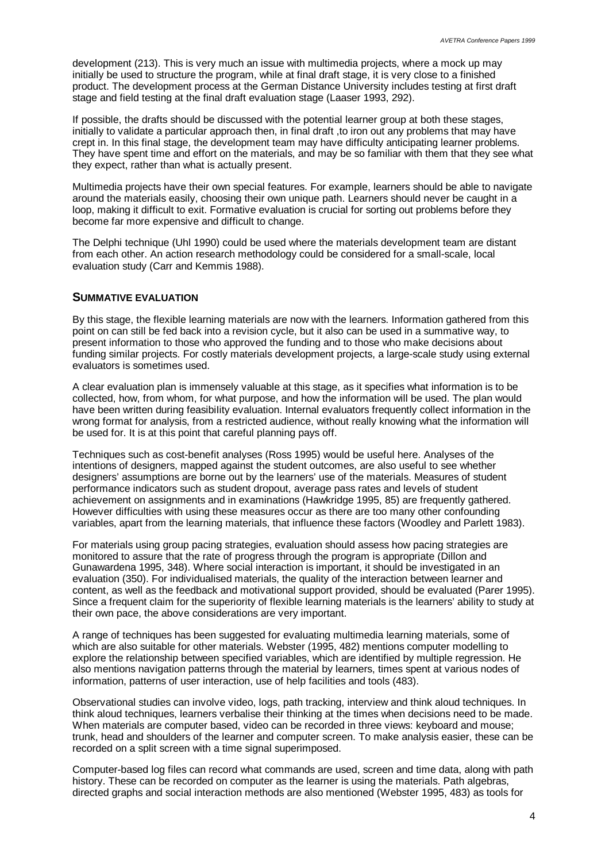development (213). This is very much an issue with multimedia projects, where a mock up may initially be used to structure the program, while at final draft stage, it is very close to a finished product. The development process at the German Distance University includes testing at first draft stage and field testing at the final draft evaluation stage (Laaser 1993, 292).

If possible, the drafts should be discussed with the potential learner group at both these stages, initially to validate a particular approach then, in final draft ,to iron out any problems that may have crept in. In this final stage, the development team may have difficulty anticipating learner problems. They have spent time and effort on the materials, and may be so familiar with them that they see what they expect, rather than what is actually present.

Multimedia projects have their own special features. For example, learners should be able to navigate around the materials easily, choosing their own unique path. Learners should never be caught in a loop, making it difficult to exit. Formative evaluation is crucial for sorting out problems before they become far more expensive and difficult to change.

The Delphi technique (Uhl 1990) could be used where the materials development team are distant from each other. An action research methodology could be considered for a small-scale, local evaluation study (Carr and Kemmis 1988).

#### **SUMMATIVE EVALUATION**

By this stage, the flexible learning materials are now with the learners. Information gathered from this point on can still be fed back into a revision cycle, but it also can be used in a summative way, to present information to those who approved the funding and to those who make decisions about funding similar projects. For costly materials development projects, a large-scale study using external evaluators is sometimes used.

A clear evaluation plan is immensely valuable at this stage, as it specifies what information is to be collected, how, from whom, for what purpose, and how the information will be used. The plan would have been written during feasibiIity evaluation. Internal evaluators frequently collect information in the wrong format for analysis, from a restricted audience, without really knowing what the information will be used for. It is at this point that careful planning pays off.

Techniques such as cost-benefit analyses (Ross 1995) would be useful here. Analyses of the intentions of designers, mapped against the student outcomes, are also useful to see whether designers' assumptions are borne out by the learners' use of the materials. Measures of student performance indicators such as student dropout, average pass rates and levels of student achievement on assignments and in examinations (Hawkridge 1995, 85) are frequently gathered. However difficulties with using these measures occur as there are too many other confounding variables, apart from the learning materials, that influence these factors (Woodley and Parlett 1983).

For materials using group pacing strategies, evaluation should assess how pacing strategies are monitored to assure that the rate of progress through the program is appropriate (Dillon and Gunawardena 1995, 348). Where social interaction is important, it should be investigated in an evaluation (350). For individualised materials, the quality of the interaction between learner and content, as well as the feedback and motivational support provided, should be evaluated (Parer 1995). Since a frequent claim for the superiority of flexible learning materials is the learners' ability to study at their own pace, the above considerations are very important.

A range of techniques has been suggested for evaluating multimedia learning materials, some of which are also suitable for other materials. Webster (1995, 482) mentions computer modelling to explore the relationship between specified variables, which are identified by multiple regression. He also mentions navigation patterns through the material by learners, times spent at various nodes of information, patterns of user interaction, use of help facilities and tools (483).

Observational studies can involve video, logs, path tracking, interview and think aloud techniques. In think aloud techniques, learners verbalise their thinking at the times when decisions need to be made. When materials are computer based, video can be recorded in three views: keyboard and mouse; trunk, head and shoulders of the learner and computer screen. To make analysis easier, these can be recorded on a split screen with a time signal superimposed.

Computer-based log files can record what commands are used, screen and time data, along with path history. These can be recorded on computer as the learner is using the materials. Path algebras, directed graphs and social interaction methods are also mentioned (Webster 1995, 483) as tools for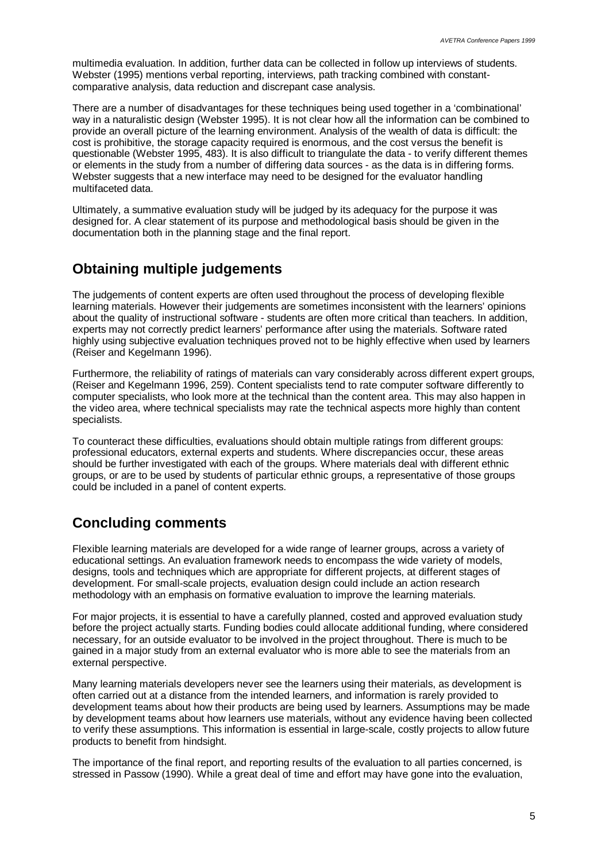multimedia evaluation. In addition, further data can be collected in follow up interviews of students. Webster (1995) mentions verbal reporting, interviews, path tracking combined with constantcomparative analysis, data reduction and discrepant case analysis.

There are a number of disadvantages for these techniques being used together in a 'combinational' way in a naturalistic design (Webster 1995). It is not clear how all the information can be combined to provide an overall picture of the learning environment. Analysis of the wealth of data is difficult: the cost is prohibitive, the storage capacity required is enormous, and the cost versus the benefit is questionable (Webster 1995, 483). It is also difficult to triangulate the data - to verify different themes or elements in the study from a number of differing data sources - as the data is in differing forms. Webster suggests that a new interface may need to be designed for the evaluator handling multifaceted data.

Ultimately, a summative evaluation study will be judged by its adequacy for the purpose it was designed for. A clear statement of its purpose and methodological basis should be given in the documentation both in the planning stage and the final report.

### **Obtaining multiple judgements**

The judgements of content experts are often used throughout the process of developing flexible learning materials. However their judgements are sometimes inconsistent with the learners' opinions about the quality of instructional software - students are often more critical than teachers. In addition, experts may not correctly predict learners' performance after using the materials. Software rated highly using subjective evaluation techniques proved not to be highly effective when used by learners (Reiser and Kegelmann 1996).

Furthermore, the reliability of ratings of materials can vary considerably across different expert groups, (Reiser and Kegelmann 1996, 259). Content specialists tend to rate computer software differently to computer specialists, who look more at the technical than the content area. This may also happen in the video area, where technical specialists may rate the technical aspects more highly than content specialists.

To counteract these difficulties, evaluations should obtain multiple ratings from different groups: professional educators, external experts and students. Where discrepancies occur, these areas should be further investigated with each of the groups. Where materials deal with different ethnic groups, or are to be used by students of particular ethnic groups, a representative of those groups could be included in a panel of content experts.

### **Concluding comments**

Flexible learning materials are developed for a wide range of learner groups, across a variety of educational settings. An evaluation framework needs to encompass the wide variety of models, designs, tools and techniques which are appropriate for different projects, at different stages of development. For small-scale projects, evaluation design could include an action research methodology with an emphasis on formative evaluation to improve the learning materials.

For major projects, it is essential to have a carefully planned, costed and approved evaluation study before the project actually starts. Funding bodies could allocate additional funding, where considered necessary, for an outside evaluator to be involved in the project throughout. There is much to be gained in a major study from an external evaluator who is more able to see the materials from an external perspective.

Many learning materials developers never see the learners using their materials, as development is often carried out at a distance from the intended learners, and information is rarely provided to development teams about how their products are being used by learners. Assumptions may be made by development teams about how learners use materials, without any evidence having been collected to verify these assumptions. This information is essential in large-scale, costly projects to allow future products to benefit from hindsight.

The importance of the final report, and reporting results of the evaluation to all parties concerned, is stressed in Passow (1990). While a great deal of time and effort may have gone into the evaluation,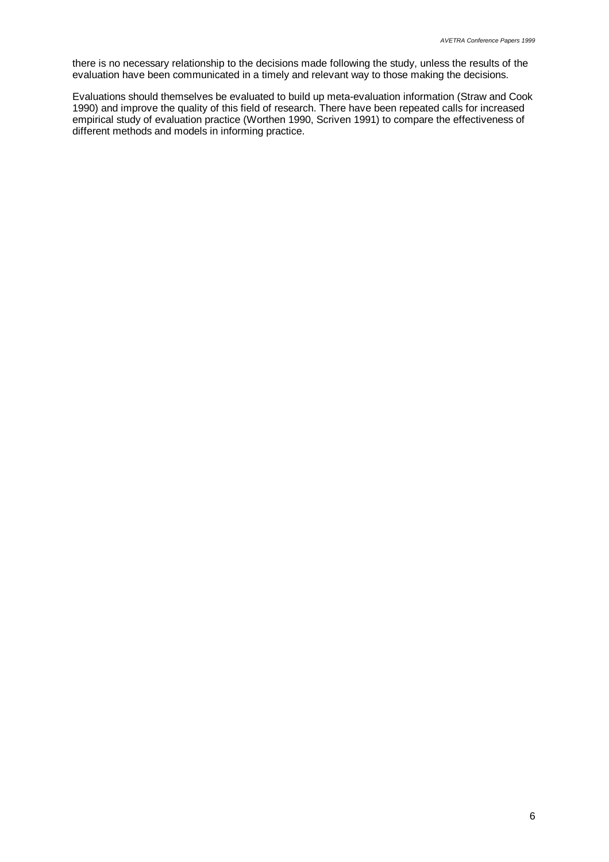there is no necessary relationship to the decisions made following the study, unless the results of the evaluation have been communicated in a timely and relevant way to those making the decisions.

Evaluations should themselves be evaluated to build up meta-evaluation information (Straw and Cook 1990) and improve the quality of this field of research. There have been repeated calls for increased empirical study of evaluation practice (Worthen 1990, Scriven 1991) to compare the effectiveness of different methods and models in informing practice.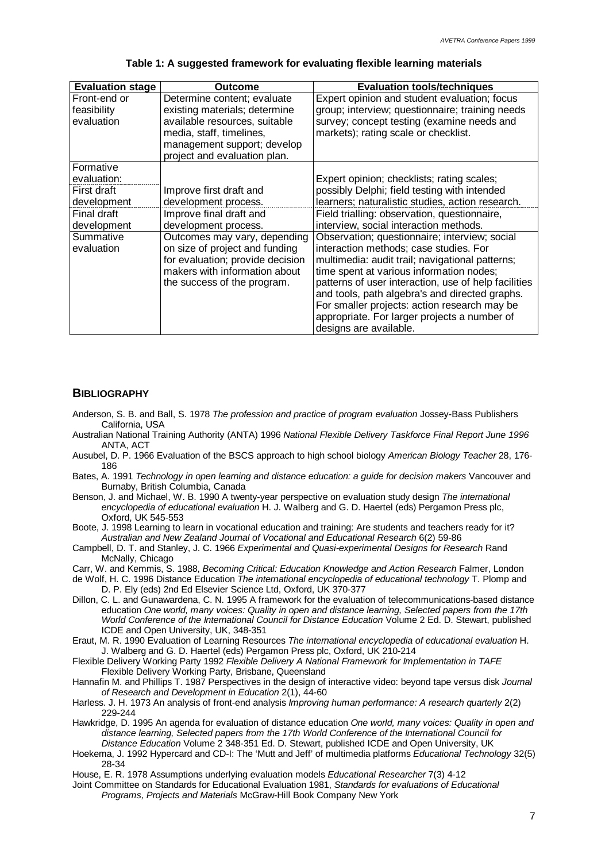| <b>Evaluation stage</b> | Outcome                          | <b>Evaluation tools/techniques</b>                   |
|-------------------------|----------------------------------|------------------------------------------------------|
| Front-end or            | Determine content; evaluate      | Expert opinion and student evaluation; focus         |
| feasibility             | existing materials; determine    | group; interview; questionnaire; training needs      |
| evaluation              | available resources, suitable    | survey; concept testing (examine needs and           |
|                         | media, staff, timelines,         | markets); rating scale or checklist.                 |
|                         | management support; develop      |                                                      |
|                         | project and evaluation plan.     |                                                      |
| Formative               |                                  |                                                      |
| evaluation:             |                                  | Expert opinion; checklists; rating scales;           |
| First draft             | Improve first draft and          | possibly Delphi; field testing with intended         |
| development             | development process.             | learners; naturalistic studies, action research.     |
| Final draft             | Improve final draft and          | Field trialling: observation, questionnaire,         |
| development             | development process.             | interview, social interaction methods.               |
| Summative               | Outcomes may vary, depending     | Observation; questionnaire; interview; social        |
| evaluation              | on size of project and funding   | interaction methods; case studies. For               |
|                         | for evaluation; provide decision | multimedia: audit trail; navigational patterns;      |
|                         | makers with information about    | time spent at various information nodes;             |
|                         | the success of the program.      | patterns of user interaction, use of help facilities |
|                         |                                  | and tools, path algebra's and directed graphs.       |
|                         |                                  | For smaller projects: action research may be         |
|                         |                                  | appropriate. For larger projects a number of         |
|                         |                                  | designs are available.                               |

#### **Table 1: A suggested framework for evaluating flexible learning materials**

#### **BIBLIOGRAPHY**

- Anderson, S. B. and Ball, S. 1978 *The profession and practice of program evaluation* Jossey-Bass Publishers California, USA
- Australian National Training Authority (ANTA) 1996 *National Flexible Delivery Taskforce Final Report June 1996* ANTA, ACT
- Ausubel, D. P. 1966 Evaluation of the BSCS approach to high school biology *American Biology Teacher* 28, 176- 186
- Bates, A. 1991 *Technology in open learning and distance education: a guide for decision makers* Vancouver and Burnaby, British Columbia, Canada
- Benson, J. and Michael, W. B. 1990 A twenty-year perspective on evaluation study design *The international encyclopedia of educational evaluation* H. J. Walberg and G. D. Haertel (eds) Pergamon Press plc, Oxford, UK 545-553

Boote, J. 1998 Learning to learn in vocational education and training: Are students and teachers ready for it? *Australian and New Zealand Journal of Vocational and Educational Research* 6(2) 59-86

Campbell, D. T. and Stanley, J. C. 1966 *Experimental and Quasi-experimental Designs for Research* Rand McNally, Chicago

Carr, W. and Kemmis, S. 1988, *Becoming Critical: Education Knowledge and Action Research* Falmer, London

de Wolf, H. C. 1996 Distance Education *The international encyclopedia of educational technology* T. Plomp and D. P. Ely (eds) 2nd Ed Elsevier Science Ltd, Oxford, UK 370-377

- Dillon, C. L. and Gunawardena, C. N. 1995 A framework for the evaluation of telecommunications-based distance education *One world, many voices: Quality in open and distance learning, Selected papers from the 17th World Conference of the International Council for Distance Education Volume 2 Ed. D. Stewart, published* ICDE and Open University, UK, 348-351
- Eraut, M. R. 1990 Evaluation of Learning Resources *The international encyclopedia of educational evaluation* H. J. Walberg and G. D. Haertel (eds) Pergamon Press plc, Oxford, UK 210-214
- Flexible Delivery Working Party 1992 *Flexible Delivery A National Framework for Implementation in TAFE* Flexible Delivery Working Party, Brisbane, Queensland
- Hannafin M. and Phillips T. 1987 Perspectives in the design of interactive video: beyond tape versus disk *Journal of Research and Development in Education* 2(1), 44-60
- Harless. J. H. 1973 An analysis of front-end analysis *Improving human performance: A research quarterly* 2(2) 229-244
- Hawkridge, D. 1995 An agenda for evaluation of distance education *One world, many voices: Quality in open and distance learning, Selected papers from the 17th World Conference of the International Council for Distance Education* Volume 2 348-351 Ed. D. Stewart, published ICDE and Open University, UK
- Hoekema, J. 1992 Hypercard and CD-I: The 'Mutt and Jeff' of multimedia platforms *Educational Technology* 32(5) 28-34

House, E. R. 1978 Assumptions underlying evaluation models *Educational Researcher* 7(3) 4-12

Joint Committee on Standards for Educational Evaluation 1981, *Standards for evaluations of Educational Programs, Projects and Materials* McGraw-Hill Book Company New York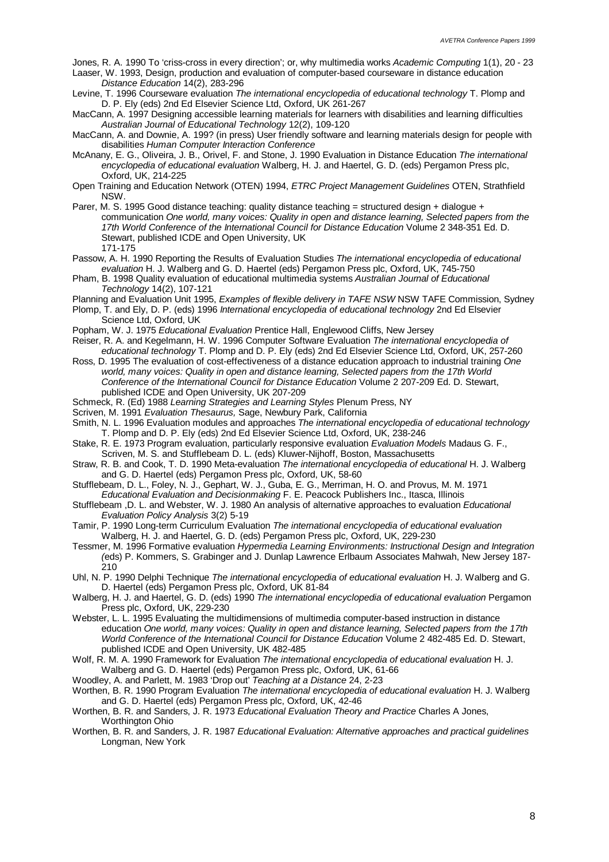Jones, R. A. 1990 To 'criss-cross in every direction'; or, why multimedia works *Academic Computing* 1(1), 20 - 23 Laaser, W. 1993, Design, production and evaluation of computer-based courseware in distance education *Distance Education* 14(2), 283-296

Levine, T. 1996 Courseware evaluation *The international encyclopedia of educational technology* T. Plomp and D. P. Ely (eds) 2nd Ed Elsevier Science Ltd, Oxford, UK 261-267

MacCann, A. 1997 Designing accessible learning materials for learners with disabilities and learning difficulties *Australian Journal of Educational Technology* 12(2), 109-120

MacCann, A. and Downie, A. 199? (in press) User friendly software and learning materials design for people with disabilities *Human Computer Interaction Conference*

McAnany, E. G., Oliveira, J. B., Orivel, F. and Stone, J. 1990 Evaluation in Distance Education *The international encyclopedia of educational evaluation* Walberg, H. J. and Haertel, G. D. (eds) Pergamon Press plc, Oxford, UK, 214-225

Open Training and Education Network (OTEN) 1994, *ETRC Project Management Guidelines* OTEN, Strathfield NSW.

Parer, M. S. 1995 Good distance teaching: quality distance teaching = structured design + dialogue + communication *One world, many voices: Quality in open and distance learning, Selected papers from the 17th World Conference of the International Council for Distance Education* Volume 2 348-351 Ed. D. Stewart, published ICDE and Open University, UK 171-175

Passow, A. H. 1990 Reporting the Results of Evaluation Studies *The international encyclopedia of educational evaluation* H. J. Walberg and G. D. Haertel (eds) Pergamon Press plc, Oxford, UK, 745-750

Pham, B. 1998 Quality evaluation of educational multimedia systems *Australian Journal of Educational Technology* 14(2), 107-121

Planning and Evaluation Unit 1995, *Examples of flexible delivery in TAFE NSW* NSW TAFE Commission, Sydney

Plomp, T. and Ely, D. P. (eds) 1996 *International encyclopedia of educational technology* 2nd Ed Elsevier Science Ltd, Oxford, UK

Popham, W. J. 1975 *Educational Evaluation* Prentice Hall, Englewood Cliffs, New Jersey

Reiser, R. A. and Kegelmann, H. W. 1996 Computer Software Evaluation *The international encyclopedia of educational technology* T. Plomp and D. P. Ely (eds) 2nd Ed Elsevier Science Ltd, Oxford, UK, 257-260

- Ross, D. 1995 The evaluation of cost-effectiveness of a distance education approach to industrial training *One world, many voices: Quality in open and distance learning, Selected papers from the 17th World Conference of the International Council for Distance Education* Volume 2 207-209 Ed. D. Stewart, published ICDE and Open University, UK 207-209
- Schmeck, R. (Ed) 1988 *Learning Strategies and Learning Styles* Plenum Press, NY
- Scriven, M. 1991 *Evaluation Thesaurus,* Sage, Newbury Park, California
- Smith, N. L. 1996 Evaluation modules and approaches *The international encyclopedia of educational technology* T. Plomp and D. P. Ely (eds) 2nd Ed Elsevier Science Ltd, Oxford, UK, 238-246
- Stake, R. E. 1973 Program evaluation, particularly responsive evaluation *Evaluation Models* Madaus G. F., Scriven, M. S. and Stufflebeam D. L. (eds) Kluwer-Nijhoff, Boston, Massachusetts
- Straw, R. B. and Cook, T. D. 1990 Meta-evaluation *The international encyclopedia of educational* H. J. Walberg and G. D. Haertel (eds) Pergamon Press plc, Oxford, UK, 58-60

Stufflebeam, D. L., Foley, N. J., Gephart, W. J., Guba, E. G., Merriman, H. O. and Provus, M. M. 1971 *Educational Evaluation and Decisionmaking* F. E. Peacock Publishers Inc., Itasca, Illinois

Stufflebeam ,D. L. and Webster, W. J. 1980 An analysis of alternative approaches to evaluation *Educational Evaluation Policy Analysis* 3(2) 5-19

Tamir, P. 1990 Long-term Curriculum Evaluation *The international encyclopedia of educational evaluation* Walberg, H. J. and Haertel, G. D. (eds) Pergamon Press plc, Oxford, UK, 229-230

Tessmer, M. 1996 Formative evaluation *Hypermedia Learning Environments: Instructional Design and Integration (*eds) P. Kommers, S. Grabinger and J. Dunlap Lawrence Erlbaum Associates Mahwah, New Jersey 187-  $210$ 

Uhl, N. P. 1990 Delphi Technique *The international encyclopedia of educational evaluation* H. J. Walberg and G. D. Haertel (eds) Pergamon Press plc, Oxford, UK 81-84

Walberg, H. J. and Haertel, G. D. (eds) 1990 *The international encyclopedia of educational evaluation* Pergamon Press plc, Oxford, UK, 229-230

- Webster, L. L. 1995 Evaluating the multidimensions of multimedia computer-based instruction in distance education *One world, many voices: Quality in open and distance learning, Selected papers from the 17th World Conference of the International Council for Distance Education* Volume 2 482-485 Ed. D. Stewart, published ICDE and Open University, UK 482-485
- Wolf, R. M. A. 1990 Framework for Evaluation *The international encyclopedia of educational evaluation* H. J. Walberg and G. D. Haertel (eds) Pergamon Press plc, Oxford, UK, 61-66

Woodley, A. and Parlett, M. 1983 'Drop out' *Teaching at a Distance* 24, 2-23

Worthen, B. R. 1990 Program Evaluation *The international encyclopedia of educational evaluation* H. J. Walberg and G. D. Haertel (eds) Pergamon Press plc, Oxford, UK, 42-46

Worthen, B. R. and Sanders, J. R. 1973 *Educational Evaluation Theory and Practice* Charles A Jones, Worthington Ohio

Worthen, B. R. and Sanders, J. R. 1987 *Educational Evaluation: Alternative approaches and practical guidelines* Longman, New York